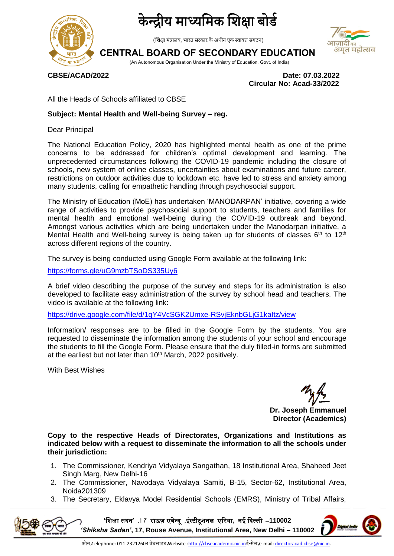

## द्रीय माध्यमिक शिक्षा बोर्ड

(शिक्षा मंत्रालय, भारत सरकार के अधीन एक स्वायत्त संगठन)

## **CENTRAL BOARD OF SECONDARY EDUCATION**

(An Autonomous Organisation Under the Ministry of Education, Govt. of India)

**CBSE/ACAD/2022 Date: 07.03.2022 Circular No: Acad-33/2022**

अमृत महोत्सव

All the Heads of Schools affiliated to CBSE

#### **Subject: Mental Health and Well-being Survey – reg.**

Dear Principal

The National Education Policy, 2020 has highlighted mental health as one of the prime concerns to be addressed for children's optimal development and learning. The unprecedented circumstances following the COVID-19 pandemic including the closure of schools, new system of online classes, uncertainties about examinations and future career, restrictions on outdoor activities due to lockdown etc. have led to stress and anxiety among many students, calling for empathetic handling through psychosocial support.

The Ministry of Education (MoE) has undertaken 'MANODARPAN' initiative, covering a wide range of activities to provide psychosocial support to students, teachers and families for mental health and emotional well-being during the COVID-19 outbreak and beyond. Amongst various activities which are being undertaken under the Manodarpan initiative, a Mental Health and Well-being survey is being taken up for students of classes  $6<sup>th</sup>$  to 12<sup>th</sup> across different regions of the country.

The survey is being conducted using Google Form available at the following link:

<https://forms.gle/uG9mzbTSoDS335Uy6>

A brief video describing the purpose of the survey and steps for its administration is also developed to facilitate easy administration of the survey by school head and teachers. The video is available at the following link:

<https://drive.google.com/file/d/1qY4VcSGK2Umxe-RSvjEknbGLjG1kaItz/view>

Information/ responses are to be filled in the Google Form by the students. You are requested to disseminate the information among the students of your school and encourage the students to fill the Google Form. Please ensure that the duly filled-in forms are submitted at the earliest but not later than 10<sup>th</sup> March, 2022 positively.

With Best Wishes

**Dr. Joseph Emmanuel Director (Academics)**

**Copy to the respective Heads of Directorates, Organizations and Institutions as indicated below with a request to disseminate the information to all the schools under their jurisdiction:** 

- 1. The Commissioner, Kendriya Vidyalaya Sangathan, 18 Institutional Area, Shaheed Jeet Singh Marg, New Delhi-16
- 2. The Commissioner, Navodaya Vidyalaya Samiti, B-15, Sector-62, Institutional Area, Noida201309
- 3. The Secretary, Eklavya Model Residential Schools (EMRS), Ministry of Tribal Affairs,

**'**शिक्षा सदन**' ,7 1** राऊज़ एवेन्यू **,**इंस्टीटूिनम एररया**,** नई ददल्मी –**110002**  *'Shiksha Sadan'***, 17, Rouse Avenue, Institutional Area, New Delhi – 110002**